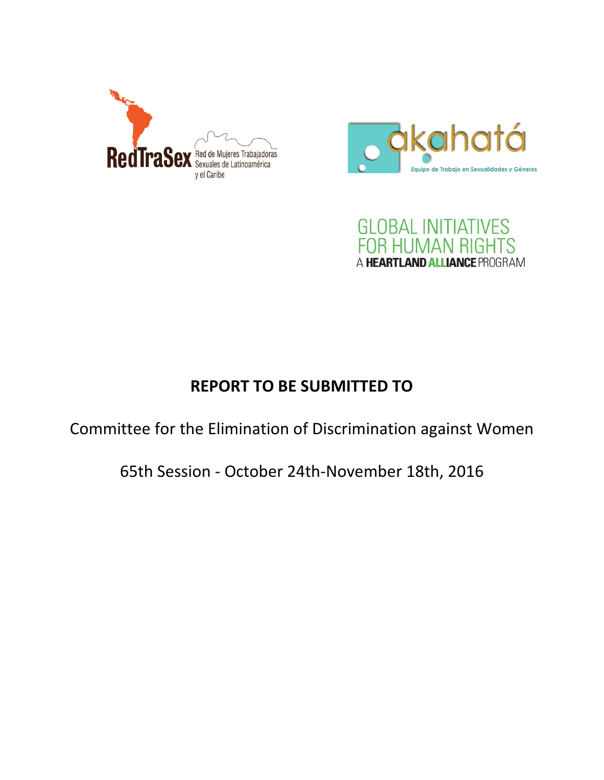





# **REPORT TO BE SUBMITTED TO**

Committee for the Elimination of Discrimination against Women

65th Session - October 24th-November 18th, 2016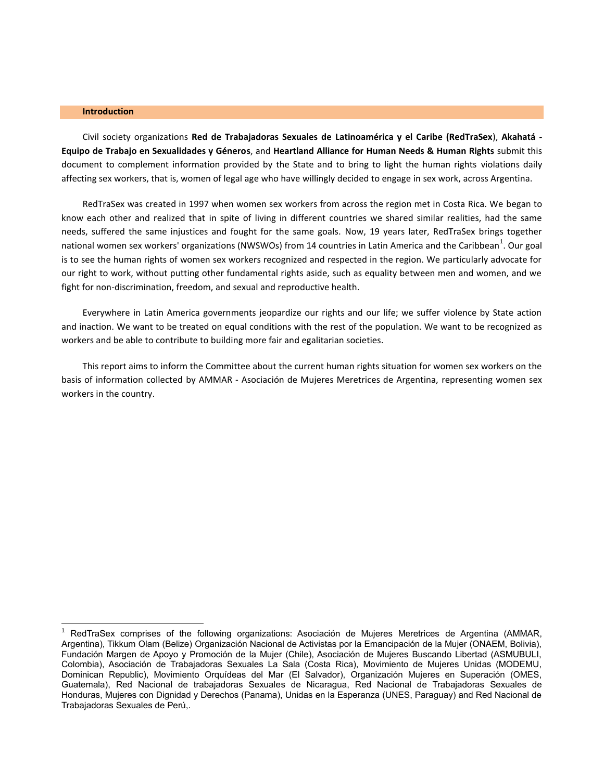#### **Introduction**

 $\overline{a}$ 

Civil society organizations **Red de Trabajadoras Sexuales de Latinoamérica y el Caribe (RedTraSex**), **Akahatá - Equipo de Trabajo en Sexualidades y Géneros**, and **Heartland Alliance for Human Needs & Human Rights** submit this document to complement information provided by the State and to bring to light the human rights violations daily affecting sex workers, that is, women of legal age who have willingly decided to engage in sex work, across Argentina.

RedTraSex was created in 1997 when women sex workers from across the region met in Costa Rica. We began to know each other and realized that in spite of living in different countries we shared similar realities, had the same needs, suffered the same injustices and fought for the same goals. Now, 19 years later, RedTraSex brings together national women sex workers' organizations (NWSWOs) from 14 countries in Latin America and the Caribbean<sup>1</sup>. Our goal is to see the human rights of women sex workers recognized and respected in the region. We particularly advocate for our right to work, without putting other fundamental rights aside, such as equality between men and women, and we fight for non-discrimination, freedom, and sexual and reproductive health.

Everywhere in Latin America governments jeopardize our rights and our life; we suffer violence by State action and inaction. We want to be treated on equal conditions with the rest of the population. We want to be recognized as workers and be able to contribute to building more fair and egalitarian societies.

This report aims to inform the Committee about the current human rights situation for women sex workers on the basis of information collected by AMMAR - Asociación de Mujeres Meretrices de Argentina, representing women sex workers in the country.

RedTraSex comprises of the following organizations: Asociación de Mujeres Meretrices de Argentina (AMMAR, Argentina), Tikkum Olam (Belize) Organización Nacional de Activistas por la Emancipación de la Mujer (ONAEM, Bolivia), Fundación Margen de Apoyo y Promoción de la Mujer (Chile), Asociación de Mujeres Buscando Libertad (ASMUBULI, Colombia), Asociación de Trabajadoras Sexuales La Sala (Costa Rica), Movimiento de Mujeres Unidas (MODEMU, Dominican Republic), Movimiento Orquídeas del Mar (El Salvador), Organización Mujeres en Superación (OMES, Guatemala), Red Nacional de trabajadoras Sexuales de Nicaragua, Red Nacional de Trabajadoras Sexuales de Honduras, Mujeres con Dignidad y Derechos (Panama), Unidas en la Esperanza (UNES, Paraguay) and Red Nacional de Trabajadoras Sexuales de Perú,.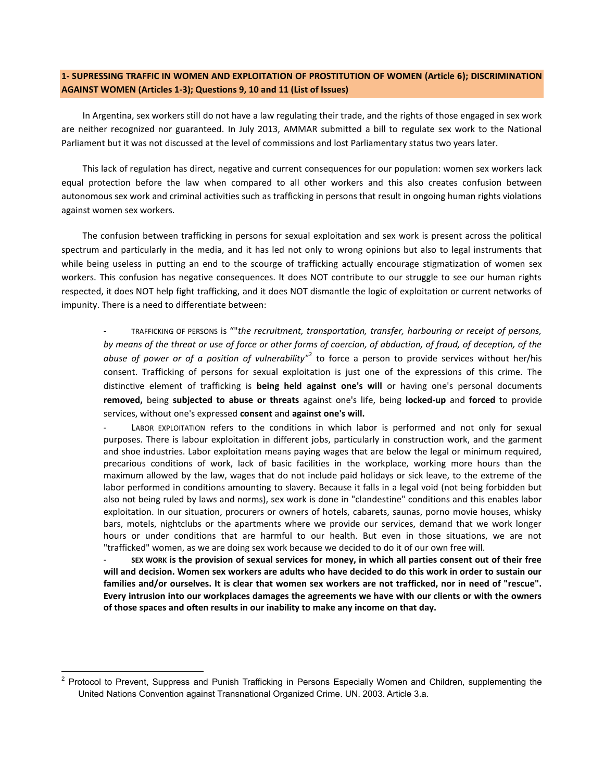# **1- SUPRESSING TRAFFIC IN WOMEN AND EXPLOITATION OF PROSTITUTION OF WOMEN (Article 6); DISCRIMINATION AGAINST WOMEN (Articles 1-3); Questions 9, 10 and 11 (List of Issues)**

In Argentina, sex workers still do not have a law regulating their trade, and the rights of those engaged in sex work are neither recognized nor guaranteed. In July 2013, AMMAR submitted a bill to regulate sex work to the National Parliament but it was not discussed at the level of commissions and lost Parliamentary status two years later.

This lack of regulation has direct, negative and current consequences for our population: women sex workers lack equal protection before the law when compared to all other workers and this also creates confusion between autonomous sex work and criminal activities such as trafficking in persons that result in ongoing human rights violations against women sex workers.

The confusion between trafficking in persons for sexual exploitation and sex work is present across the political spectrum and particularly in the media, and it has led not only to wrong opinions but also to legal instruments that while being useless in putting an end to the scourge of trafficking actually encourage stigmatization of women sex workers. This confusion has negative consequences. It does NOT contribute to our struggle to see our human rights respected, it does NOT help fight trafficking, and it does NOT dismantle the logic of exploitation or current networks of impunity. There is a need to differentiate between:

TRAFFICKING OF PERSONS is ""the recruitment, transportation, transfer, harbouring or receipt of persons, *by means of the threat or use of force or other forms of coercion, of abduction, of fraud, of deception, of the*  abuse of power or of a position of vulnerability"<sup>2</sup> to force a person to provide services without her/his consent. Trafficking of persons for sexual exploitation is just one of the expressions of this crime. The distinctive element of trafficking is **being held against one's will** or having one's personal documents **removed,** being **subjected to abuse or threats** against one's life, being **locked-up** and **forced** to provide services, without one's expressed **consent** and **against one's will.**

LABOR EXPLOITATION refers to the conditions in which labor is performed and not only for sexual purposes. There is labour exploitation in different jobs, particularly in construction work, and the garment and shoe industries. Labor exploitation means paying wages that are below the legal or minimum required, precarious conditions of work, lack of basic facilities in the workplace, working more hours than the maximum allowed by the law, wages that do not include paid holidays or sick leave, to the extreme of the labor performed in conditions amounting to slavery. Because it falls in a legal void (not being forbidden but also not being ruled by laws and norms), sex work is done in "clandestine" conditions and this enables labor exploitation. In our situation, procurers or owners of hotels, cabarets, saunas, porno movie houses, whisky bars, motels, nightclubs or the apartments where we provide our services, demand that we work longer hours or under conditions that are harmful to our health. But even in those situations, we are not "trafficked" women, as we are doing sex work because we decided to do it of our own free will.

- **SEX WORK is the provision of sexual services for money, in which all parties consent out of their free will and decision. Women sex workers are adults who have decided to do this work in order to sustain our families and/or ourselves. It is clear that women sex workers are not trafficked, nor in need of "rescue". Every intrusion into our workplaces damages the agreements we have with our clients or with the owners of those spaces and often results in our inability to make any income on that day.**

 $\overline{\phantom{a}}$ 

<sup>&</sup>lt;sup>2</sup> Protocol to Prevent, Suppress and Punish Trafficking in Persons Especially Women and Children, supplementing the United Nations Convention against Transnational Organized Crime. UN. 2003. Article 3.a.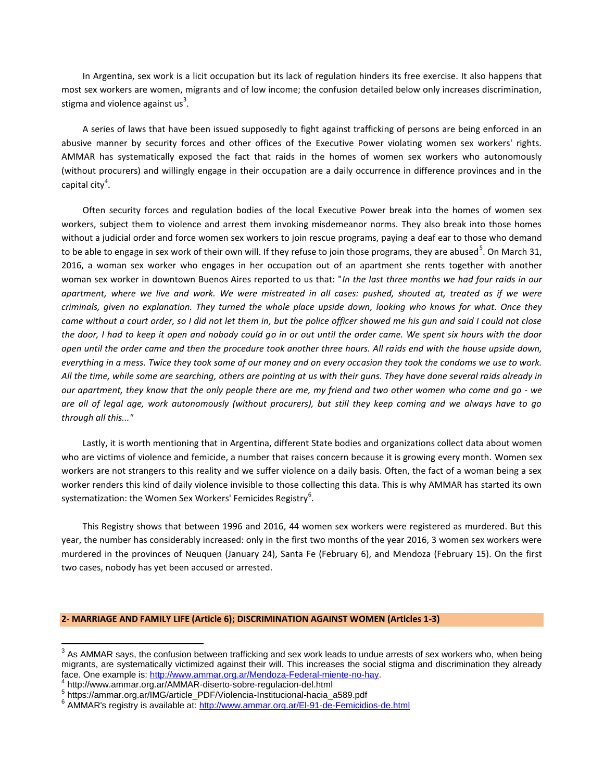In Argentina, sex work is a licit occupation but its lack of regulation hinders its free exercise. It also happens that most sex workers are women, migrants and of low income; the confusion detailed below only increases discrimination, stigma and violence against us<sup>3</sup>.

A series of laws that have been issued supposedly to fight against trafficking of persons are being enforced in an abusive manner by security forces and other offices of the Executive Power violating women sex workers' rights. AMMAR has systematically exposed the fact that raids in the homes of women sex workers who autonomously (without procurers) and willingly engage in their occupation are a daily occurrence in difference provinces and in the capital city $^4$ .

Often security forces and regulation bodies of the local Executive Power break into the homes of women sex workers, subject them to violence and arrest them invoking misdemeanor norms. They also break into those homes without a judicial order and force women sex workers to join rescue programs, paying a deaf ear to those who demand to be able to engage in sex work of their own will. If they refuse to join those programs, they are abused<sup>5</sup>. On March 31, 2016, a woman sex worker who engages in her occupation out of an apartment she rents together with another woman sex worker in downtown Buenos Aires reported to us that: "*In the last three months we had four raids in our apartment, where we live and work. We were mistreated in all cases: pushed, shouted at, treated as if we were criminals, given no explanation. They turned the whole place upside down, looking who knows for what. Once they came without a court order, so I did not let them in, but the police officer showed me his gun and said I could not close the door, I had to keep it open and nobody could go in or out until the order came. We spent six hours with the door open until the order came and then the procedure took another three hours. All raids end with the house upside down, everything in a mess. Twice they took some of our money and on every occasion they took the condoms we use to work. All the time, while some are searching, others are pointing at us with their guns. They have done several raids already in our apartment, they know that the only people there are me, my friend and two other women who come and go - we are all of legal age, work autonomously (without procurers), but still they keep coming and we always have to go through all this..."*

Lastly, it is worth mentioning that in Argentina, different State bodies and organizations collect data about women who are victims of violence and femicide, a number that raises concern because it is growing every month. Women sex workers are not strangers to this reality and we suffer violence on a daily basis. Often, the fact of a woman being a sex worker renders this kind of daily violence invisible to those collecting this data. This is why AMMAR has started its own systematization: the Women Sex Workers' Femicides Registry $^6$ .

This Registry shows that between 1996 and 2016, 44 women sex workers were registered as murdered. But this year, the number has considerably increased: only in the first two months of the year 2016, 3 women sex workers were murdered in the provinces of Neuquen (January 24), Santa Fe (February 6), and Mendoza (February 15). On the first two cases, nobody has yet been accused or arrested.

## **2- MARRIAGE AND FAMILY LIFE (Article 6); DISCRIMINATION AGAINST WOMEN (Articles 1-3)**

 $\overline{a}$ 

 $3$  As AMMAR says, the confusion between trafficking and sex work leads to undue arrests of sex workers who, when being migrants, are systematically victimized against their will. This increases the social stigma and discrimination they already face. One example is: [http://www.ammar.org.ar/Mendoza-Federal-miente-no-hay.](http://www.ammar.org.ar/Mendoza-Federal-miente-no-hay)<br>4 http://www.emmer.org.ar/AMAAD diserte eshre.regulacion.del.html

http://www.ammar.org.ar/AMMAR-diserto-sobre-regulacion-del.html

<sup>5</sup> https://ammar.org.ar/IMG/article\_PDF/Violencia-Institucional-hacia\_a589.pdf

<sup>&</sup>lt;sup>6</sup> AMMAR's registry is available at:<http://www.ammar.org.ar/El-91-de-Femicidios-de.html>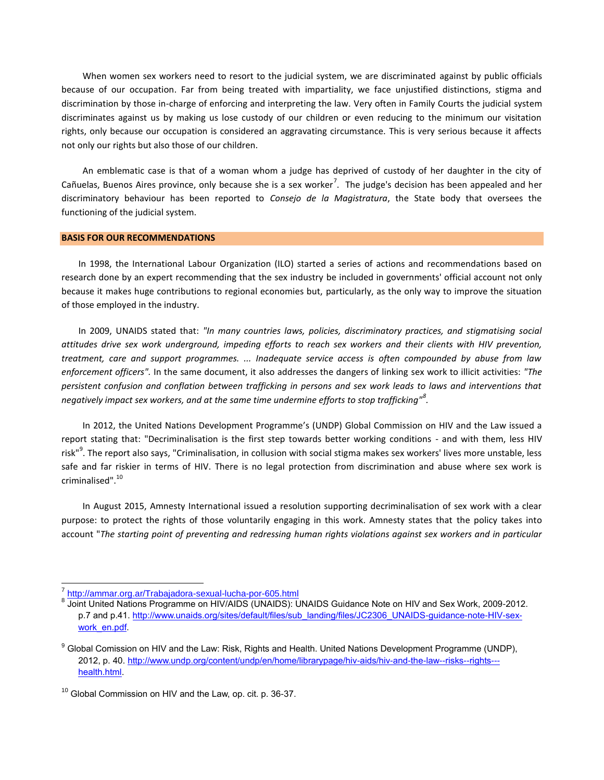When women sex workers need to resort to the judicial system, we are discriminated against by public officials because of our occupation. Far from being treated with impartiality, we face unjustified distinctions, stigma and discrimination by those in-charge of enforcing and interpreting the law. Very often in Family Courts the judicial system discriminates against us by making us lose custody of our children or even reducing to the minimum our visitation rights, only because our occupation is considered an aggravating circumstance. This is very serious because it affects not only our rights but also those of our children.

An emblematic case is that of a woman whom a judge has deprived of custody of her daughter in the city of Cañuelas, Buenos Aires province, only because she is a sex worker<sup>7</sup>. The judge's decision has been appealed and her discriminatory behaviour has been reported to *Consejo de la Magistratura*, the State body that oversees the functioning of the judicial system.

## **BASIS FOR OUR RECOMMENDATIONS**

In 1998, the International Labour Organization (ILO) started a series of actions and recommendations based on research done by an expert recommending that the sex industry be included in governments' official account not only because it makes huge contributions to regional economies but, particularly, as the only way to improve the situation of those employed in the industry.

In 2009, UNAIDS stated that: *"In many countries laws, policies, discriminatory practices, and stigmatising social attitudes drive sex work underground, impeding efforts to reach sex workers and their clients with HIV prevention, treatment, care and support programmes. ... Inadequate service access is often compounded by abuse from law enforcement officers".* In the same document, it also addresses the dangers of linking sex work to illicit activities: *"The persistent confusion and conflation between trafficking in persons and sex work leads to laws and interventions that negatively impact sex workers, and at the same time undermine efforts to stop trafficking"<sup>8</sup> .*

In 2012, the United Nations Development Programme's (UNDP) Global Commission on HIV and the Law issued a report stating that: "Decriminalisation is the first step towards better working conditions - and with them, less HIV risk"<sup>9</sup>. The report also says, "Criminalisation, in collusion with social stigma makes sex workers' lives more unstable, less safe and far riskier in terms of HIV. There is no legal protection from discrimination and abuse where sex work is criminalised".<sup>10</sup>

In August 2015, Amnesty International issued a resolution supporting decriminalisation of sex work with a clear purpose: to protect the rights of those voluntarily engaging in this work. Amnesty states that the policy takes into account "*The starting point of preventing and redressing human rights violations against sex workers and in particular* 

 $\overline{a}$ 

<sup>7</sup> <http://ammar.org.ar/Trabajadora-sexual-lucha-por-605.html>

<sup>&</sup>lt;sup>8</sup> Joint United Nations Programme on HIV/AIDS (UNAIDS): UNAIDS Guidance Note on HIV and Sex Work, 2009-2012. p.7 and p.41. [http://www.unaids.org/sites/default/files/sub\\_landing/files/JC2306\\_UNAIDS-guidance-note-HIV-sex](http://www.unaids.org/sites/default/files/sub_landing/files/JC2306_UNAIDS-guidance-note-HIV-sex-work_en.pdf)[work\\_en.pdf.](http://www.unaids.org/sites/default/files/sub_landing/files/JC2306_UNAIDS-guidance-note-HIV-sex-work_en.pdf)

<sup>&</sup>lt;sup>9</sup> Global Comission on HIV and the Law: Risk, Rights and Health. United Nations Development Programme (UNDP), 2012, p. 40. [http://www.undp.org/content/undp/en/home/librarypage/hiv-aids/hiv-and-the-law--risks--rights--](http://www.undp.org/content/undp/en/home/librarypage/hiv-aids/hiv-and-the-law--risks--rights---health.html) [health.html.](http://www.undp.org/content/undp/en/home/librarypage/hiv-aids/hiv-and-the-law--risks--rights---health.html)

<sup>&</sup>lt;sup>10</sup> Global Commission on HIV and the Law, op. cit. p. 36-37.